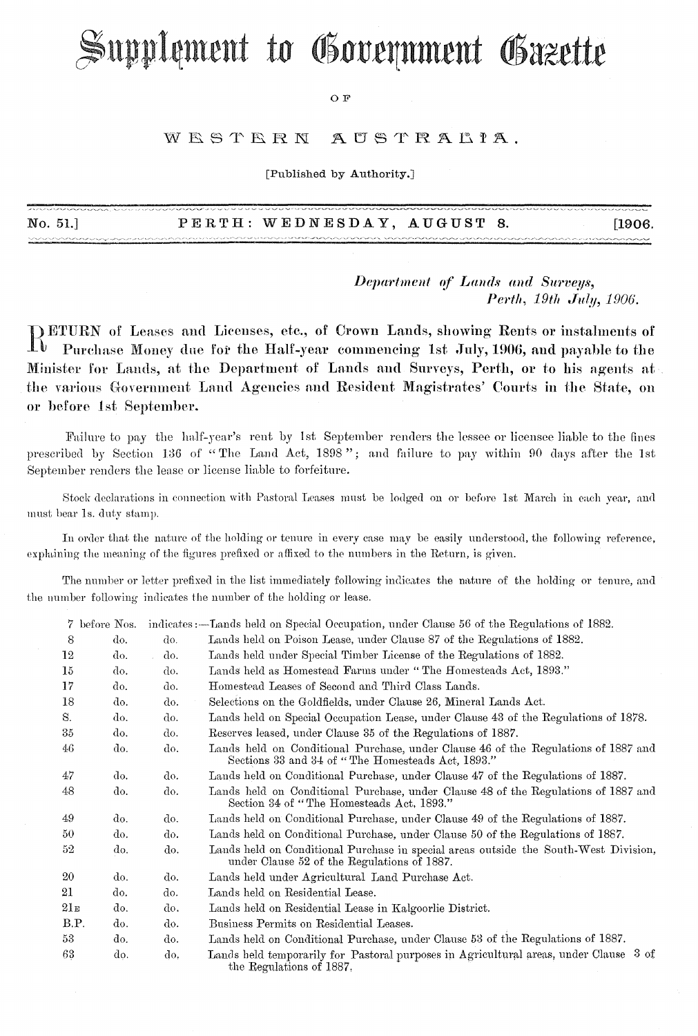# Supplement to Government Gazette

#### O F

#### WESTERN AUSTRALIA.

[Published by Authority.]

| No. 51.] |  | PERTH: WEDNESDAY, AUGUST 8. |  |  | [1906. |
|----------|--|-----------------------------|--|--|--------|
|----------|--|-----------------------------|--|--|--------|

Department of Lands and Surveys, Perth, 19th July, 1906.

DETURN of Leases and Licenses, etc., of Crown Lands, showing Rents or instalments of  $\Gamma$ Purchase Money due for the Half-year commencing 1st July, 1906, and payable to the Minister for Lands, at the Department of Lands and Surveys, Perth, or to his agents at the various Government Land Agencies and Resident Magistrates' Courts in the State, on or before 1st September.

Failure to pay the half-year's rent by 1st September renders the lessee or licensee liable to the fines prescribed by Section 136 of "The Land Act, 1898"; and failure to pay within 90 days after the 1st September renders the lease or license liable to forfeiture.

Stock declarations in connection with Pastoral Leases must be lodged on or before 1st March in each year, and must bear 1s. duty stamp.

In order that the nature of the holding or tenure in every case may be easily understood, the following reference, explaining the meaning of the figures prefixed or affixed to the numbers in the Return, is given.

The number or letter prefixed in the list immediately following indicates the nature of the holding or tenure, and the number following indicates the number of the holding or lease.

|                | 7 before Nos. |     | indicates :—Lands held on Special Occupation, under Clause 56 of the Regulations of 1882.                                               |
|----------------|---------------|-----|-----------------------------------------------------------------------------------------------------------------------------------------|
| -8             | do.           | do. | Lands held on Poison Lease, under Clause 87 of the Regulations of 1882.                                                                 |
| 12             | do.           | do. | Lands held under Special Timber License of the Regulations of 1882.                                                                     |
| $15\,$         | do.           | do. | Lands held as Homestead Farms under "The Homesteads Act, 1893."                                                                         |
| 17             | do.           | do. | Homestead Leases of Second and Third Class Lands.                                                                                       |
| 18             | do.           | do. | Selections on the Goldfields, under Clause 26, Mineral Lands Act.                                                                       |
| S.             | do.           | do. | Lands held on Special Occupation Lease, under Clause 43 of the Regulations of 1878.                                                     |
| $35\,$         | do.           | do. | Reserves leased, under Clause 35 of the Regulations of 1887.                                                                            |
| 46             | do.           | do. | Lands held on Conditional Purchase, under Clause 46 of the Regulations of 1887 and<br>Sections 33 and 34 of "The Homesteads Act, 1893." |
| 47             | do.           | do. | Lands held on Conditional Purchase, under Clause 47 of the Regulations of 1887.                                                         |
| 48             | do.           | do. | Lands held on Conditional Purchase, under Clause 48 of the Regulations of 1887 and<br>Section 34 of "The Homesteads Act, 1893."         |
| 49             | do.           | do. | Lands held on Conditional Purchase, under Clause 49 of the Regulations of 1887.                                                         |
| 50             | do.           | do. | Lands held on Conditional Purchase, under Clause 50 of the Regulations of 1887.                                                         |
| 52.            | do.           | do. | Lands held on Conditional Purchase in special areas outside the South-West Division,<br>under Clause 52 of the Regulations of 1887.     |
| 20             | do.           | do. | Lands held under Agricultural Land Purchase Act.                                                                                        |
| 21             | do.           | do. | Lands held on Residential Lease.                                                                                                        |
| $21\mathrm{e}$ | do.           | do. | Lands held on Residential Lease in Kalgoorlie District.                                                                                 |
| B.P.           | do.           | do. | Business Permits on Residential Leases.                                                                                                 |
| 53             | do.           | do. | Lands held on Conditional Purchase, under Clause 53 of the Regulations of 1887.                                                         |
| 63             | do.           | do. | Lands held temporarily for Pastoral purposes in Agricultural areas, under Clause 3 of<br>the Regulations of 1887.                       |